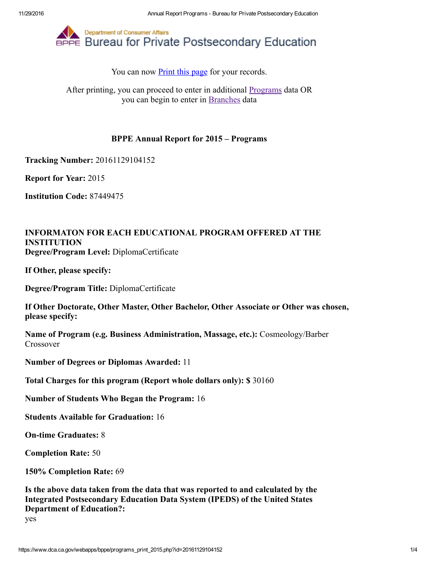

You can now **Print this page** for your records.

After printing, you can proceed to enter in additional [Programs](https://www.dca.ca.gov/webapps/bppe/report_programs_2015.php) data OR you can begin to enter in [Branches](https://www.dca.ca.gov/webapps/bppe/report_branches_2015.php) data

## BPPE Annual Report for 2015 – Programs

Tracking Number: 20161129104152

Report for Year: 2015

Institution Code: 87449475

## INFORMATON FOR EACH EDUCATIONAL PROGRAM OFFERED AT THE INSTITUTION Degree/Program Level: DiplomaCertificate

If Other, please specify:

Degree/Program Title: DiplomaCertificate

If Other Doctorate, Other Master, Other Bachelor, Other Associate or Other was chosen, please specify:

Name of Program (e.g. Business Administration, Massage, etc.): Cosmeology/Barber Crossover

Number of Degrees or Diplomas Awarded: 11

Total Charges for this program (Report whole dollars only): \$ 30160

Number of Students Who Began the Program: 16

Students Available for Graduation: 16

**On-time Graduates: 8** 

Completion Rate: 50

150% Completion Rate: 69

Is the above data taken from the data that was reported to and calculated by the Integrated Postsecondary Education Data System (IPEDS) of the United States Department of Education?:

yes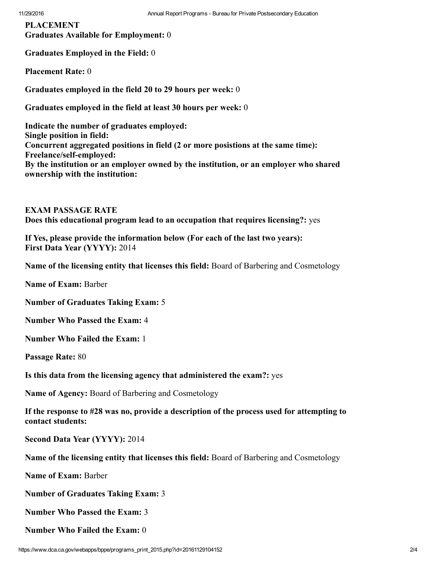PLACEMENT Graduates Available for Employment: 0

Graduates Employed in the Field: 0

Placement Rate: 0

Graduates employed in the field 20 to 29 hours per week: 0

Graduates employed in the field at least 30 hours per week: 0

Indicate the number of graduates employed: Single position in field: Concurrent aggregated positions in field (2 or more posistions at the same time): Freelance/self-employed: By the institution or an employer owned by the institution, or an employer who shared ownership with the institution:

EXAM PASSAGE RATE Does this educational program lead to an occupation that requires licensing?: yes

If Yes, please provide the information below (For each of the last two years): First Data Year (YYYY): 2014

Name of the licensing entity that licenses this field: Board of Barbering and Cosmetology

Name of Exam: Barber

Number of Graduates Taking Exam: 5

Number Who Passed the Exam: 4

Number Who Failed the Exam: 1

Passage Rate: 80

Is this data from the licensing agency that administered the exam?: yes

Name of Agency: Board of Barbering and Cosmetology

If the response to #28 was no, provide a description of the process used for attempting to contact students:

Second Data Year (YYYY): 2014

Name of the licensing entity that licenses this field: Board of Barbering and Cosmetology

Name of Exam: Barber

Number of Graduates Taking Exam: 3

Number Who Passed the Exam: 3

Number Who Failed the Exam: 0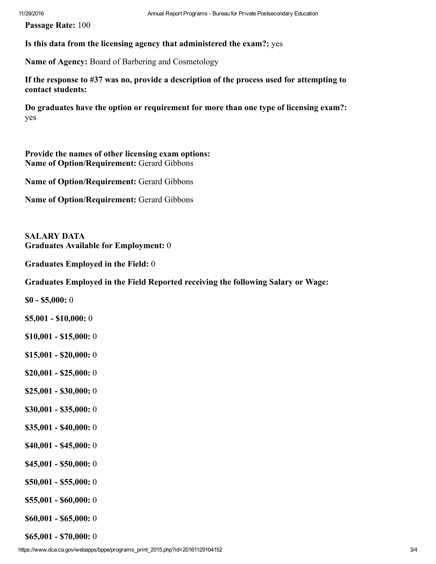Passage Rate: 100

Is this data from the licensing agency that administered the exam?: yes

Name of Agency: Board of Barbering and Cosmetology

If the response to #37 was no, provide a description of the process used for attempting to contact students:

Do graduates have the option or requirement for more than one type of licensing exam?: yes

Provide the names of other licensing exam options: Name of Option/Requirement: Gerard Gibbons

Name of Option/Requirement: Gerard Gibbons

Name of Option/Requirement: Gerard Gibbons

SALARY DATA Graduates Available for Employment: 0

Graduates Employed in the Field: 0

Graduates Employed in the Field Reported receiving the following Salary or Wage:

 $$0 - $5,000:0$ 

 $$5,001 - $10,000:0$ 

 $$10,001 - $15,000:0$ 

- $$15,001 $20,000:0$
- $$20,001 $25,000:0$
- $$25,001 $30,000:0$
- $$30,001 $35,000:0$
- $$35,001 $40,000:0$
- $$40,001 $45,000:0$
- $$45,001 $50,000:0$
- $$50,001 $55,000:0$
- $$55,001 $60,000:0$
- $$60,001 $65,000:0$

 $$65,001 - $70,000:0$